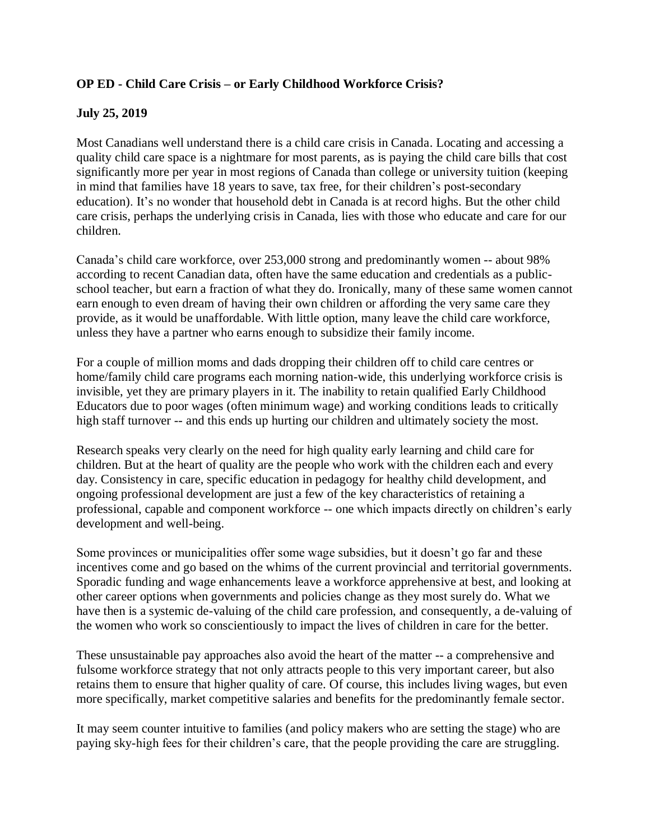## **OP ED - Child Care Crisis – or Early Childhood Workforce Crisis?**

## **July 25, 2019**

Most Canadians well understand there is a child care crisis in Canada. Locating and accessing a quality child care space is a nightmare for most parents, as is paying the child care bills that cost significantly more per year in most regions of Canada than college or university tuition (keeping in mind that families have 18 years to save, tax free, for their children's post-secondary education). It's no wonder that household debt in Canada is at record highs. But the other child care crisis, perhaps the underlying crisis in Canada, lies with those who educate and care for our children.

Canada's child care workforce, over 253,000 strong and predominantly women -- about 98% according to recent Canadian data, often have the same education and credentials as a publicschool teacher, but earn a fraction of what they do. Ironically, many of these same women cannot earn enough to even dream of having their own children or affording the very same care they provide, as it would be unaffordable. With little option, many leave the child care workforce, unless they have a partner who earns enough to subsidize their family income.

For a couple of million moms and dads dropping their children off to child care centres or home/family child care programs each morning nation-wide, this underlying workforce crisis is invisible, yet they are primary players in it. The inability to retain qualified Early Childhood Educators due to poor wages (often minimum wage) and working conditions leads to critically high staff turnover -- and this ends up hurting our children and ultimately society the most.

Research speaks very clearly on the need for high quality early learning and child care for children. But at the heart of quality are the people who work with the children each and every day. Consistency in care, specific education in pedagogy for healthy child development, and ongoing professional development are just a few of the key characteristics of retaining a professional, capable and component workforce -- one which impacts directly on children's early development and well-being.

Some provinces or municipalities offer some wage subsidies, but it doesn't go far and these incentives come and go based on the whims of the current provincial and territorial governments. Sporadic funding and wage enhancements leave a workforce apprehensive at best, and looking at other career options when governments and policies change as they most surely do. What we have then is a systemic de-valuing of the child care profession, and consequently, a de-valuing of the women who work so conscientiously to impact the lives of children in care for the better.

These unsustainable pay approaches also avoid the heart of the matter -- a comprehensive and fulsome workforce strategy that not only attracts people to this very important career, but also retains them to ensure that higher quality of care. Of course, this includes living wages, but even more specifically, market competitive salaries and benefits for the predominantly female sector.

It may seem counter intuitive to families (and policy makers who are setting the stage) who are paying sky-high fees for their children's care, that the people providing the care are struggling.